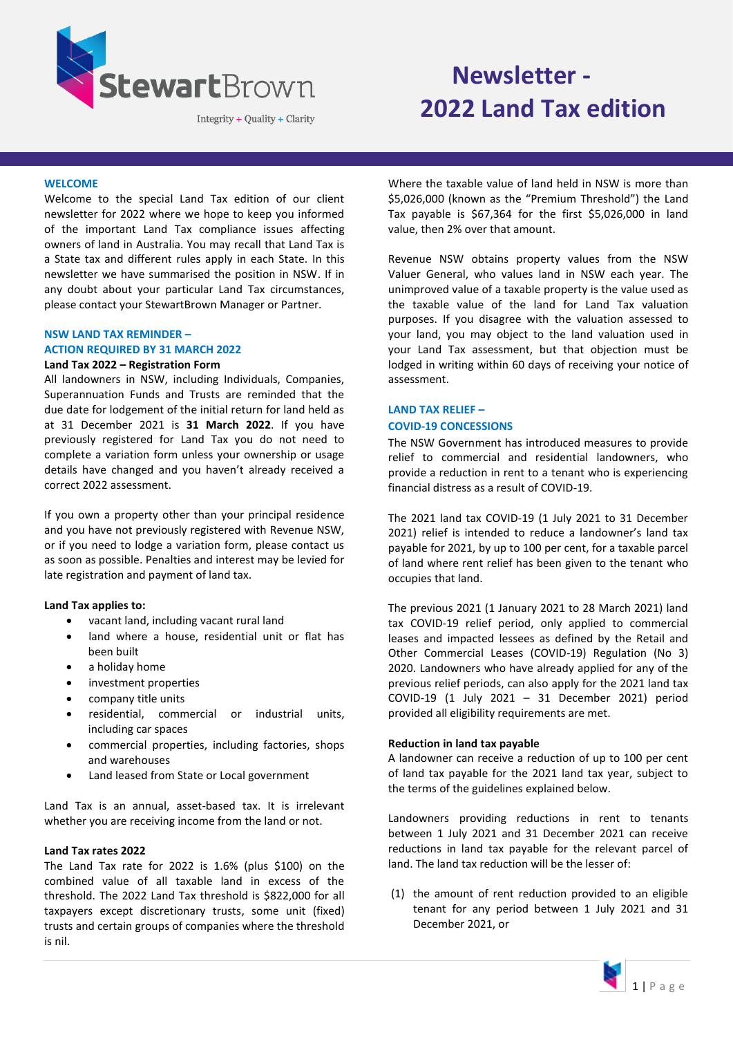

Integrity + Quality + Clarity

# **Newsletter - 2022 Land Tax edition**

# **WELCOME**

Welcome to the special Land Tax edition of our client newsletter for 2022 where we hope to keep you informed of the important Land Tax compliance issues affecting owners of land in Australia. You may recall that Land Tax is a State tax and different rules apply in each State. In this newsletter we have summarised the position in NSW. If in any doubt about your particular Land Tax circumstances, please contact your StewartBrown Manager or Partner.

# **NSW LAND TAX REMINDER –**

#### **ACTION REQUIRED BY 31 MARCH 2022**

# **Land Tax 2022 – Registration Form**

All landowners in NSW, including Individuals, Companies, Superannuation Funds and Trusts are reminded that the due date for lodgement of the initial return for land held as at 31 December 2021 is **31 March 2022**. If you have previously registered for Land Tax you do not need to complete a variation form unless your ownership or usage details have changed and you haven't already received a correct 2022 assessment.

If you own a property other than your principal residence and you have not previously registered with Revenue NSW, or if you need to lodge a variation form, please contact us as soon as possible. Penalties and interest may be levied for late registration and payment of land tax.

# **Land Tax applies to:**

- vacant land, including vacant rural land
- land where a house, residential unit or flat has been built
- a holiday home
- investment properties
- company title units
- residential, commercial or industrial units, including car spaces
- commercial properties, including factories, shops and warehouses
- Land leased from State or Local government

Land Tax is an annual, asset-based tax. It is irrelevant whether you are receiving income from the land or not.

#### **Land Tax rates 2022**

The Land Tax rate for 2022 is 1.6% (plus \$100) on the combined value of all taxable land in excess of the threshold. The 2022 Land Tax threshold is \$822,000 for all taxpayers except discretionary trusts, some unit (fixed) trusts and certain groups of companies where the threshold is nil.

Where the taxable value of land held in NSW is more than \$5,026,000 (known as the "Premium Threshold") the Land Tax payable is \$67,364 for the first \$5,026,000 in land value, then 2% over that amount.

Revenue NSW obtains property values from the NSW Valuer General, who values land in NSW each year. The unimproved value of a taxable property is the value used as the taxable value of the land for Land Tax valuation purposes. If you disagree with the valuation assessed to your land, you may object to the land valuation used in your Land Tax assessment, but that objection must be lodged in writing within 60 days of receiving your notice of assessment.

# **LAND TAX RELIEF – COVID-19 CONCESSIONS**

The NSW Government has introduced measures to provide relief to commercial and residential landowners, who provide a reduction in rent to a tenant who is experiencing financial distress as a result of COVID-19.

The 2021 land tax COVID-19 (1 July 2021 to 31 December 2021) relief is intended to reduce a landowner's land tax payable for 2021, by up to 100 per cent, for a taxable parcel of land where rent relief has been given to the tenant who occupies that land.

The previous 2021 (1 January 2021 to 28 March 2021) land tax COVID-19 relief period, only applied to commercial leases and impacted lessees as defined by the Retail and Other Commercial Leases (COVID-19) Regulation (No 3) 2020. Landowners who have already applied for any of the previous relief periods, can also apply for the 2021 land tax COVID-19 (1 July 2021 – 31 December 2021) period provided all eligibility requirements are met.

# **Reduction in land tax payable**

A landowner can receive a reduction of up to 100 per cent of land tax payable for the 2021 land tax year, subject to the terms of the guidelines explained below.

Landowners providing reductions in rent to tenants between 1 July 2021 and 31 December 2021 can receive reductions in land tax payable for the relevant parcel of land. The land tax reduction will be the lesser of:

(1) the amount of rent reduction provided to an eligible tenant for any period between 1 July 2021 and 31 December 2021, or